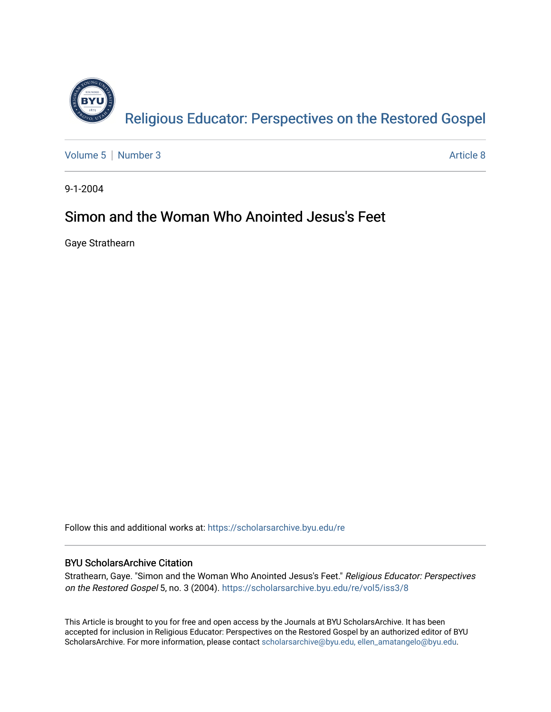

[Volume 5](https://scholarsarchive.byu.edu/re/vol5) | [Number 3](https://scholarsarchive.byu.edu/re/vol5/iss3) Article 8

9-1-2004

## Simon and the Woman Who Anointed Jesus's Feet

Gaye Strathearn

Follow this and additional works at: [https://scholarsarchive.byu.edu/re](https://scholarsarchive.byu.edu/re?utm_source=scholarsarchive.byu.edu%2Fre%2Fvol5%2Fiss3%2F8&utm_medium=PDF&utm_campaign=PDFCoverPages)

## BYU ScholarsArchive Citation

Strathearn, Gaye. "Simon and the Woman Who Anointed Jesus's Feet." Religious Educator: Perspectives on the Restored Gospel 5, no. 3 (2004). [https://scholarsarchive.byu.edu/re/vol5/iss3/8](https://scholarsarchive.byu.edu/re/vol5/iss3/8?utm_source=scholarsarchive.byu.edu%2Fre%2Fvol5%2Fiss3%2F8&utm_medium=PDF&utm_campaign=PDFCoverPages)

This Article is brought to you for free and open access by the Journals at BYU ScholarsArchive. It has been accepted for inclusion in Religious Educator: Perspectives on the Restored Gospel by an authorized editor of BYU ScholarsArchive. For more information, please contact [scholarsarchive@byu.edu, ellen\\_amatangelo@byu.edu.](mailto:scholarsarchive@byu.edu,%20ellen_amatangelo@byu.edu)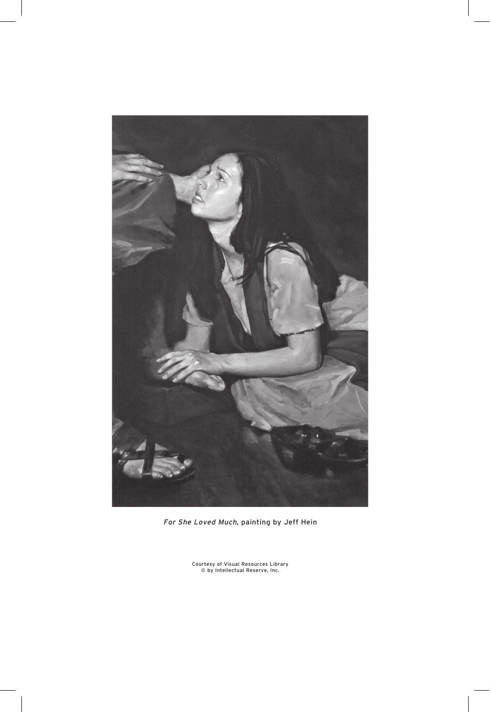

For She Loved Much, painting by Jeff Hein

Courtesy of Visual Resources Library © by Intellectual Reserve, Inc.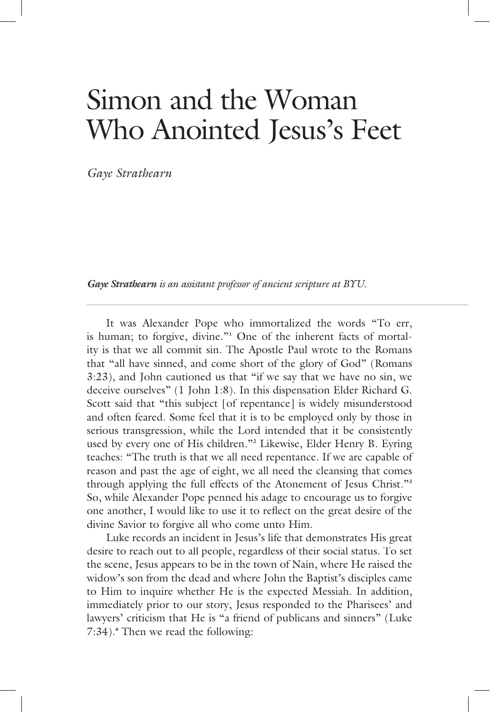## Simon and the Woman Who Anointed Jesus's Feet

*Gaye Strathearn* 

*Gaye Strathearn is an assistant professor of ancient scripture at BYU. is an assistant professor of ancient scripture at*

 It was Alexander Pope who immortalized the words "To err, is human; to forgive, divine."**<sup>1</sup>** One of the inherent facts of mortality is that we all commit sin. The Apostle Paul wrote to the Romans that "all have sinned, and come short of the glory of God" (Romans 3:23), and John cautioned us that "if we say that we have no sin, we deceive ourselves" (1 John 1:8). In this dispensation Elder Richard G. Scott said that "this subject [of repentance] is widely misunderstood and often feared. Some feel that it is to be employed only by those in serious transgression, while the Lord intended that it be consistently used by every one of His children."**<sup>2</sup>** Likewise, Elder Henry B. Eyring teaches: "The truth is that we all need repentance. If we are capable of reason and past the age of eight, we all need the cleansing that comes through applying the full effects of the Atonement of Jesus Christ."**<sup>3</sup>** So, while Alexander Pope penned his adage to encourage us to forgive one another, I would like to use it to reflect on the great desire of the divine Savior to forgive all who come unto Him.

 Luke records an incident in Jesus's life that demonstrates His great desire to reach out to all people, regardless of their social status. To set the scene, Jesus appears to be in the town of Nain, where He raised the widow's son from the dead and where John the Baptist's disciples came to Him to inquire whether He is the expected Messiah. In addition, immediately prior to our story, Jesus responded to the Pharisees' and lawyers' criticism that He is "a friend of publicans and sinners" (Luke 7:34).**<sup>4</sup>** Then we read the following: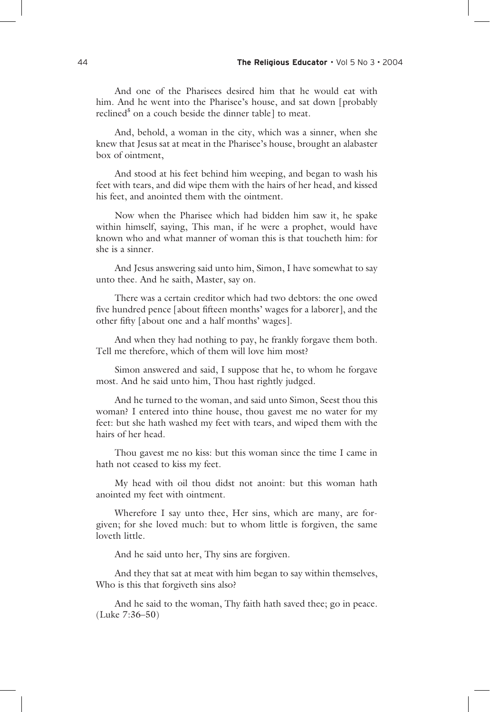And one of the Pharisees desired him that he would eat with him. And he went into the Pharisee's house, and sat down [probably reclined<sup>5</sup> on a couch beside the dinner table] to meat.

 And, behold, a woman in the city, which was a sinner, when she knew that Jesus sat at meat in the Pharisee's house, brought an alabaster box of ointment,

 And stood at his feet behind him weeping, and began to wash his feet with tears, and did wipe them with the hairs of her head, and kissed his feet, and anointed them with the ointment.

 Now when the Pharisee which had bidden him saw it, he spake within himself, saying, This man, if he were a prophet, would have known who and what manner of woman this is that toucheth him: for she is a sinner.

 And Jesus answering said unto him, Simon, I have somewhat to say unto thee. And he saith, Master, say on.

 There was a certain creditor which had two debtors: the one owed five hundred pence [about fifteen months' wages for a laborer], and the other fifty [about one and a half months' wages].

 And when they had nothing to pay, he frankly forgave them both. Tell me therefore, which of them will love him most?

 Simon answered and said, I suppose that he, to whom he forgave most. And he said unto him, Thou hast rightly judged.

 And he turned to the woman, and said unto Simon, Seest thou this woman? I entered into thine house, thou gavest me no water for my feet: but she hath washed my feet with tears, and wiped them with the hairs of her head.

 Thou gavest me no kiss: but this woman since the time I came in hath not ceased to kiss my feet.

 My head with oil thou didst not anoint: but this woman hath anointed my feet with ointment.

 Wherefore I say unto thee, Her sins, which are many, are forgiven; for she loved much: but to whom little is forgiven, the same loveth little.

And he said unto her, Thy sins are forgiven.

 And they that sat at meat with him began to say within themselves, Who is this that forgiveth sins also?

 And he said to the woman, Thy faith hath saved thee; go in peace. (Luke 7:36–50)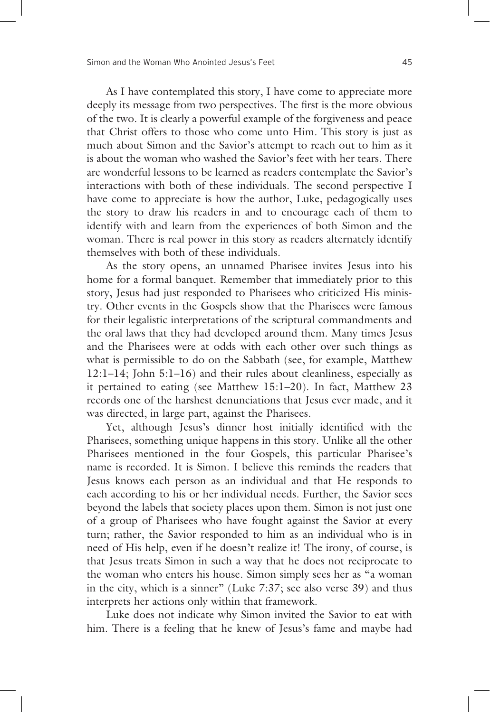As I have contemplated this story, I have come to appreciate more deeply its message from two perspectives. The first is the more obvious of the two. It is clearly a powerful example of the forgiveness and peace that Christ offers to those who come unto Him. This story is just as much about Simon and the Savior's attempt to reach out to him as it is about the woman who washed the Savior's feet with her tears. There are wonderful lessons to be learned as readers contemplate the Savior's interactions with both of these individuals. The second perspective I have come to appreciate is how the author, Luke, pedagogically uses the story to draw his readers in and to encourage each of them to identify with and learn from the experiences of both Simon and the woman. There is real power in this story as readers alternately identify themselves with both of these individuals.

 As the story opens, an unnamed Pharisee invites Jesus into his home for a formal banquet. Remember that immediately prior to this story, Jesus had just responded to Pharisees who criticized His ministry. Other events in the Gospels show that the Pharisees were famous for their legalistic interpretations of the scriptural commandments and the oral laws that they had developed around them. Many times Jesus and the Pharisees were at odds with each other over such things as what is permissible to do on the Sabbath (see, for example, Matthew 12:1–14; John 5:1–16) and their rules about cleanliness, especially as it pertained to eating (see Matthew 15:1–20). In fact, Matthew 23 records one of the harshest denunciations that Jesus ever made, and it was directed, in large part, against the Pharisees.

Yet, although Jesus's dinner host initially identified with the Pharisees, something unique happens in this story. Unlike all the other Pharisees mentioned in the four Gospels, this particular Pharisee's name is recorded. It is Simon. I believe this reminds the readers that Jesus knows each person as an individual and that He responds to each according to his or her individual needs. Further, the Savior sees beyond the labels that society places upon them. Simon is not just one of a group of Pharisees who have fought against the Savior at every turn; rather, the Savior responded to him as an individual who is in need of His help, even if he doesn't realize it! The irony, of course, is that Jesus treats Simon in such a way that he does not reciprocate to the woman who enters his house. Simon simply sees her as "a woman in the city, which is a sinner" (Luke 7:37; see also verse 39) and thus interprets her actions only within that framework.

 Luke does not indicate why Simon invited the Savior to eat with him. There is a feeling that he knew of Jesus's fame and maybe had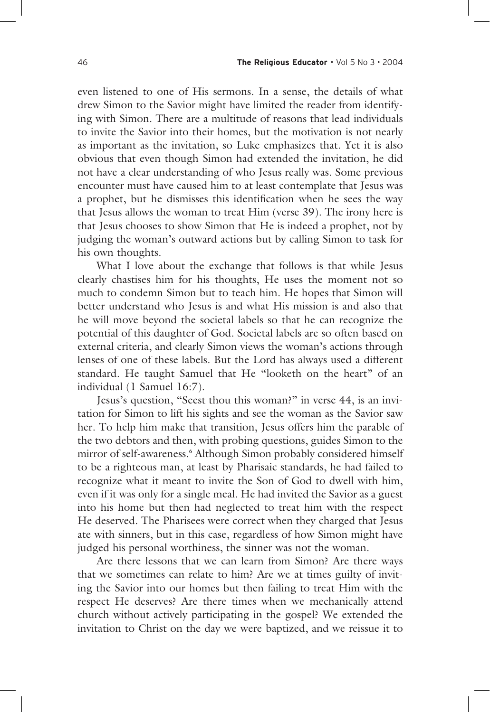even listened to one of His sermons. In a sense, the details of what drew Simon to the Savior might have limited the reader from identifying with Simon. There are a multitude of reasons that lead individuals to invite the Savior into their homes, but the motivation is not nearly as important as the invitation, so Luke emphasizes that. Yet it is also obvious that even though Simon had extended the invitation, he did not have a clear understanding of who Jesus really was. Some previous encounter must have caused him to at least contemplate that Jesus was a prophet, but he dismisses this identification when he sees the way that Jesus allows the woman to treat Him (verse 39). The irony here is that Jesus chooses to show Simon that He is indeed a prophet, not by judging the woman's outward actions but by calling Simon to task for his own thoughts.

 What I love about the exchange that follows is that while Jesus clearly chastises him for his thoughts, He uses the moment not so much to condemn Simon but to teach him. He hopes that Simon will better understand who Jesus is and what His mission is and also that he will move beyond the societal labels so that he can recognize the potential of this daughter of God. Societal labels are so often based on external criteria, and clearly Simon views the woman's actions through lenses of one of these labels. But the Lord has always used a different standard. He taught Samuel that He "looketh on the heart" of an individual (1 Samuel 16:7).

 Jesus's question, "Seest thou this woman?" in verse 44, is an invitation for Simon to lift his sights and see the woman as the Savior saw her. To help him make that transition, Jesus offers him the parable of the two debtors and then, with probing questions, guides Simon to the mirror of self-awareness.**<sup>6</sup>** Although Simon probably considered himself to be a righteous man, at least by Pharisaic standards, he had failed to recognize what it meant to invite the Son of God to dwell with him, even if it was only for a single meal. He had invited the Savior as a guest into his home but then had neglected to treat him with the respect He deserved. The Pharisees were correct when they charged that Jesus ate with sinners, but in this case, regardless of how Simon might have judged his personal worthiness, the sinner was not the woman.

 Are there lessons that we can learn from Simon? Are there ways that we sometimes can relate to him? Are we at times guilty of inviting the Savior into our homes but then failing to treat Him with the respect He deserves? Are there times when we mechanically attend church without actively participating in the gospel? We extended the invitation to Christ on the day we were baptized, and we reissue it to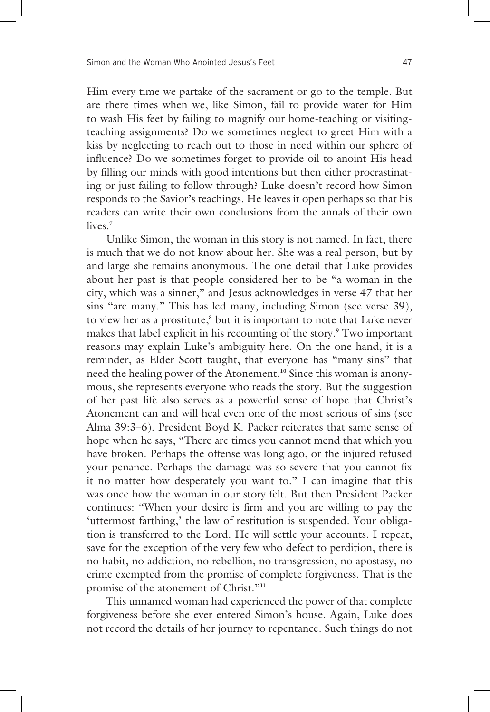Him every time we partake of the sacrament or go to the temple. But are there times when we, like Simon, fail to provide water for Him to wash His feet by failing to magnify our home-teaching or visitingteaching assignments? Do we sometimes neglect to greet Him with a kiss by neglecting to reach out to those in need within our sphere of influence? Do we sometimes forget to provide oil to anoint His head by filling our minds with good intentions but then either procrastinating or just failing to follow through? Luke doesn't record how Simon responds to the Savior's teachings. He leaves it open perhaps so that his readers can write their own conclusions from the annals of their own lives.**<sup>7</sup>**

 Unlike Simon, the woman in this story is not named. In fact, there is much that we do not know about her. She was a real person, but by and large she remains anonymous. The one detail that Luke provides about her past is that people considered her to be "a woman in the city, which was a sinner," and Jesus acknowledges in verse 47 that her sins "are many." This has led many, including Simon (see verse 39), to view her as a prostitute,<sup>8</sup> but it is important to note that Luke never makes that label explicit in his recounting of the story.**<sup>9</sup>** Two important reasons may explain Luke's ambiguity here. On the one hand, it is a reminder, as Elder Scott taught, that everyone has "many sins" that need the healing power of the Atonement.**10** Since this woman is anonymous, she represents everyone who reads the story. But the suggestion of her past life also serves as a powerful sense of hope that Christ's Atonement can and will heal even one of the most serious of sins (see Alma 39:3–6). President Boyd K. Packer reiterates that same sense of hope when he says, "There are times you cannot mend that which you have broken. Perhaps the offense was long ago, or the injured refused your penance. Perhaps the damage was so severe that you cannot fix it no matter how desperately you want to." I can imagine that this was once how the woman in our story felt. But then President Packer continues: "When your desire is firm and you are willing to pay the 'uttermost farthing,' the law of restitution is suspended. Your obligation is transferred to the Lord. He will settle your accounts. I repeat, save for the exception of the very few who defect to perdition, there is no habit, no addiction, no rebellion, no transgression, no apostasy, no crime exempted from the promise of complete forgiveness. That is the promise of the atonement of Christ."**<sup>11</sup>**

 This unnamed woman had experienced the power of that complete forgiveness before she ever entered Simon's house. Again, Luke does not record the details of her journey to repentance. Such things do not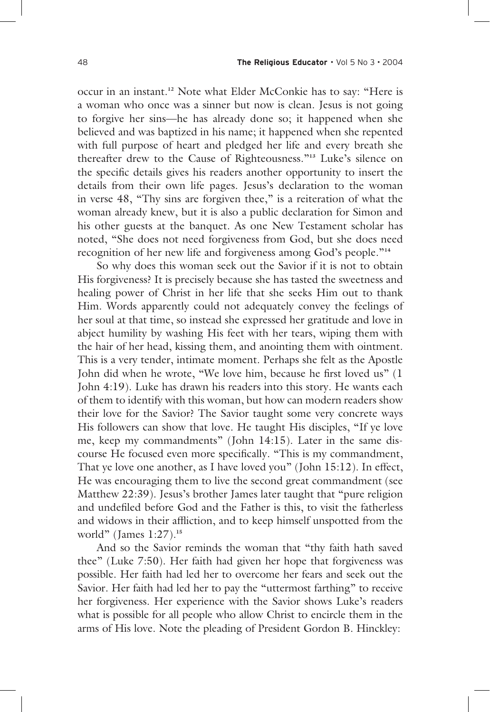occur in an instant.**12** Note what Elder McConkie has to say: "Here is a woman who once was a sinner but now is clean. Jesus is not going to forgive her sins—he has already done so; it happened when she believed and was baptized in his name; it happened when she repented with full purpose of heart and pledged her life and every breath she thereafter drew to the Cause of Righteousness."**13** Luke's silence on the specific details gives his readers another opportunity to insert the details from their own life pages. Jesus's declaration to the woman in verse 48, "Thy sins are forgiven thee," is a reiteration of what the woman already knew, but it is also a public declaration for Simon and his other guests at the banquet. As one New Testament scholar has noted, "She does not need forgiveness from God, but she does need recognition of her new life and forgiveness among God's people."**<sup>14</sup>**

 So why does this woman seek out the Savior if it is not to obtain His forgiveness? It is precisely because she has tasted the sweetness and healing power of Christ in her life that she seeks Him out to thank Him. Words apparently could not adequately convey the feelings of her soul at that time, so instead she expressed her gratitude and love in abject humility by washing His feet with her tears, wiping them with the hair of her head, kissing them, and anointing them with ointment. This is a very tender, intimate moment. Perhaps she felt as the Apostle John did when he wrote, "We love him, because he first loved us" (1) John 4:19). Luke has drawn his readers into this story. He wants each of them to identify with this woman, but how can modern readers show their love for the Savior? The Savior taught some very concrete ways His followers can show that love. He taught His disciples, "If ye love me, keep my commandments" (John 14:15). Later in the same discourse He focused even more specifically. "This is my commandment, That ye love one another, as I have loved you" (John 15:12). In effect, He was encouraging them to live the second great commandment (see Matthew 22:39). Jesus's brother James later taught that "pure religion and undefiled before God and the Father is this, to visit the fatherless and widows in their affliction, and to keep himself unspotted from the world" (James 1:27).**<sup>15</sup>**

 And so the Savior reminds the woman that "thy faith hath saved thee" (Luke 7:50). Her faith had given her hope that forgiveness was possible. Her faith had led her to overcome her fears and seek out the Savior. Her faith had led her to pay the "uttermost farthing" to receive her forgiveness. Her experience with the Savior shows Luke's readers what is possible for all people who allow Christ to encircle them in the arms of His love. Note the pleading of President Gordon B. Hinckley: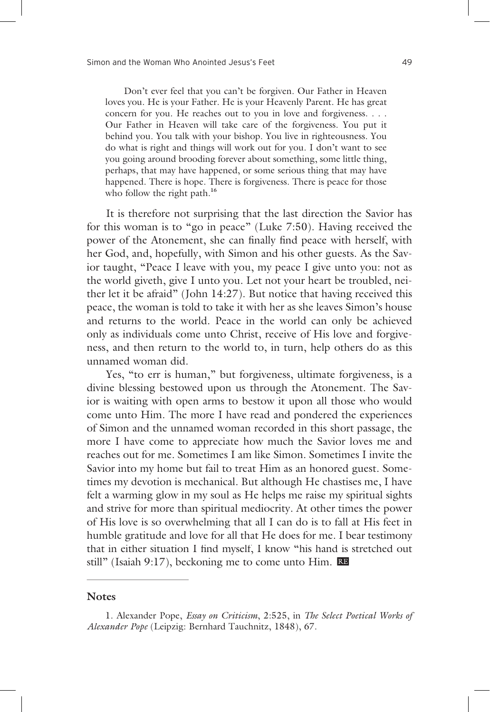Don't ever feel that you can't be forgiven. Our Father in Heaven loves you. He is your Father. He is your Heavenly Parent. He has great concern for you. He reaches out to you in love and forgiveness. . . . Our Father in Heaven will take care of the forgiveness. You put it behind you. You talk with your bishop. You live in righteousness. You do what is right and things will work out for you. I don't want to see you going around brooding forever about something, some little thing, perhaps, that may have happened, or some serious thing that may have happened. There is hope. There is forgiveness. There is peace for those who follow the right path.**<sup>16</sup>**

 It is therefore not surprising that the last direction the Savior has for this woman is to "go in peace" (Luke 7:50). Having received the power of the Atonement, she can finally find peace with herself, with her God, and, hopefully, with Simon and his other guests. As the Savior taught, "Peace I leave with you, my peace I give unto you: not as the world giveth, give I unto you. Let not your heart be troubled, neither let it be afraid" (John 14:27). But notice that having received this peace, the woman is told to take it with her as she leaves Simon's house and returns to the world. Peace in the world can only be achieved only as individuals come unto Christ, receive of His love and forgiveness, and then return to the world to, in turn, help others do as this unnamed woman did.

 Yes, "to err is human," but forgiveness, ultimate forgiveness, is a divine blessing bestowed upon us through the Atonement. The Savior is waiting with open arms to bestow it upon all those who would come unto Him. The more I have read and pondered the experiences of Simon and the unnamed woman recorded in this short passage, the more I have come to appreciate how much the Savior loves me and reaches out for me. Sometimes I am like Simon. Sometimes I invite the Savior into my home but fail to treat Him as an honored guest. Sometimes my devotion is mechanical. But although He chastises me, I have felt a warming glow in my soul as He helps me raise my spiritual sights and strive for more than spiritual mediocrity. At other times the power of His love is so overwhelming that all I can do is to fall at His feet in humble gratitude and love for all that He does for me. I bear testimony that in either situation I find myself, I know "his hand is stretched out still" (Isaiah 9:17), beckoning me to come unto Him. RE

## **Notes**

<sup>1.</sup> Alexander Pope, *Essay on Criticism*, 2:525, in *The Select Poetical Works of Alexander Pope* (Leipzig: Bernhard Tauchnitz, 1848), 67.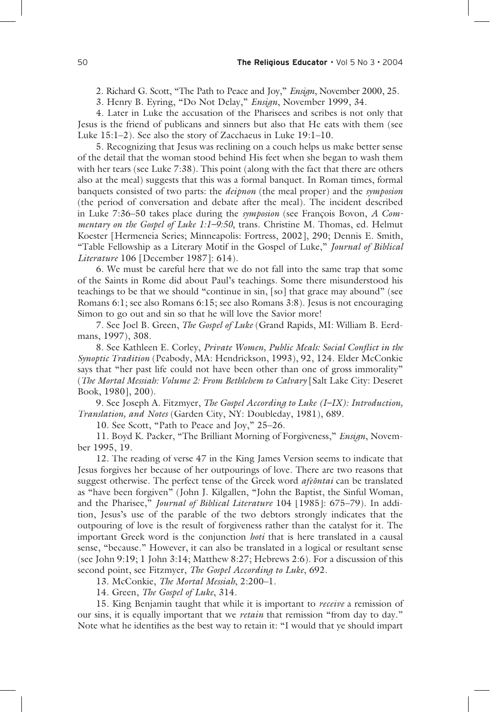2. Richard G. Scott, "The Path to Peace and Joy," *Ensign*, November 2000, 25.

3. Henry B. Eyring, "Do Not Delay," *Ensign*, November 1999, 34.

4. Later in Luke the accusation of the Pharisees and scribes is not only that Jesus is the friend of publicans and sinners but also that He eats with them (see Luke 15:1–2). See also the story of Zacchaeus in Luke 19:1–10.

5. Recognizing that Jesus was reclining on a couch helps us make better sense of the detail that the woman stood behind His feet when she began to wash them with her tears (see Luke 7:38). This point (along with the fact that there are others also at the meal) suggests that this was a formal banquet. In Roman times, formal banquets consisted of two parts: the *deipnon* (the meal proper) and the *symposion* (the period of conversation and debate after the meal). The incident described in Luke 7:36–50 takes place during the *symposion* (see François Bovon, *A Commentary on the Gospel of Luke 1:1–9:50*, trans. Christine M. Thomas, ed. Helmut Koester [Hermeneia Series; Minneapolis: Fortress, 2002], 290; Dennis E. Smith, "Table Fellowship as a Literary Motif in the Gospel of Luke," *Journal of Biblical Literature* 106 [December 1987]: 614).

6. We must be careful here that we do not fall into the same trap that some of the Saints in Rome did about Paul's teachings. Some there misunderstood his teachings to be that we should "continue in sin, [so] that grace may abound" (see Romans 6:1; see also Romans 6:15; see also Romans 3:8). Jesus is not encouraging Simon to go out and sin so that he will love the Savior more!

7. See Joel B. Green, *The Gospel of Luke* (Grand Rapids, MI: William B. Eerdmans, 1997), 308.

8. See Kathleen E. Corley, *Private Women, Public Meals: Social Conflict in the Synoptic Tradition* (Peabody, MA: Hendrickson, 1993), 92, 124. Elder McConkie says that "her past life could not have been other than one of gross immorality" (*The Mortal Messiah: Volume 2: From Bethlehem to Calvary* [Salt Lake City: Deseret Book, 1980], 200).

9. See Joseph A. Fitzmyer, *The Gospel According to Luke (I–IX): Introduction, Translation, and Notes* (Garden City, NY: Doubleday, 1981), 689.

10. See Scott, "Path to Peace and Joy," 25–26.

11. Boyd K. Packer, "The Brilliant Morning of Forgiveness," *Ensign*, November 1995, 19.

12. The reading of verse 47 in the King James Version seems to indicate that Jesus forgives her because of her outpourings of love. There are two reasons that suggest otherwise. The perfect tense of the Greek word *afeontai* can be translated as "have been forgiven" (John J. Kilgallen, "John the Baptist, the Sinful Woman, and the Pharisee," *Journal of Biblical Literature* 104 [1985]: 675-79). In addition, Jesus's use of the parable of the two debtors strongly indicates that the outpouring of love is the result of forgiveness rather than the catalyst for it. The important Greek word is the conjunction *hoti* that is here translated in a causal sense, "because." However, it can also be translated in a logical or resultant sense (see John 9:19; 1 John 3:14; Matthew 8:27; Hebrews 2:6). For a discussion of this second point, see Fitzmyer, *The Gospel According to Luke*, 692.

13. McConkie, *The Mortal Messiah*, 2:200–1.

14. Green, *The Gospel of Luke*, 314.

15. King Benjamin taught that while it is important to *receive* a remission of our sins, it is equally important that we *retain* that remission "from day to day." Note what he identifies as the best way to retain it: "I would that ye should impart